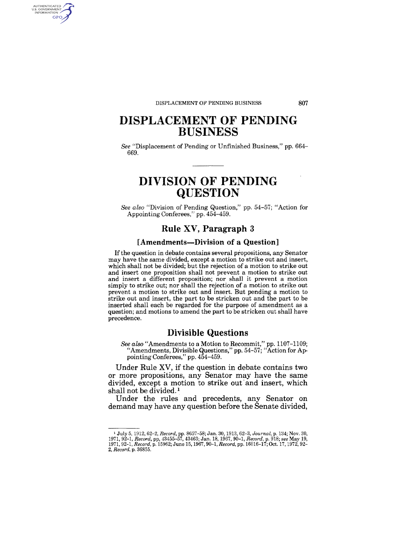#### DISPLACEMENT OF PENDING BUSINESS

AUTHENTICATED<br>U.S. GOVERNMENT<br>INFORMATION **GPO** 

## **DISPLACEMENT OF PENDING BUSINESS**

*See* "Displacement of Pending or Unfinished Business," pp. 664- 669.

## **DIVISION OF PENDING QUESTION**

*See also* "Division of Pending Question," pp. 54-57; "Action for Appointing Conferees," pp. 454-459.

### **Rule XV, Paragraph 3**

### **[Amendments-Division of a Question]**

If the question in debate contains several propositions, any Senator may have the same divided, except a motion to strike out and insert, which shall not be divided; but the rejection of a motion to strike out and insert one proposition shall not prevent a motion to strike out and insert a different proposition; nor shall *it* prevent a motion simply to strike out; nor shall the rejection of a motion to strike out prevent a motion to strike out and insert. But pending a motion to strike out and insert, the part to be stricken out and the part to be inserted shall each be regarded for the purpose of amendment as a question; and motions to amend the part to be stricken out shall have precedence.

### **Divisible Questions**

*See also* "Amendments to a Motion to Recommit," pp. 1107-1109; "Amendments, Divisible Questions," pp. 54-57; "Action for Appointing Conferees," pp. 454-459.

Under Rule XV, if the question in debate contains two or more propositions, any Senator may have the same divided, except a motion to strike out' and insert, which shall not be divided.<sup>1</sup>

Under the rules and precedents, any Senator on demand may have any question before the Senate divided,

807

<sup>&</sup>lt;sup>1</sup> July 5, 1912, 62–2, *Record*, pp. 8657–58; Jan. 30, 1913, 62–3, Journal, p. 134; Nov. 30, 1971, 92–1, *Record*, pp. 43455–57, 43463; Jan. 18, 1967, 90–1, *Record, p. 918; see May 19,* 1971, 92–1, *Record*, p. 43455–57, *2, Record,* p. 36855.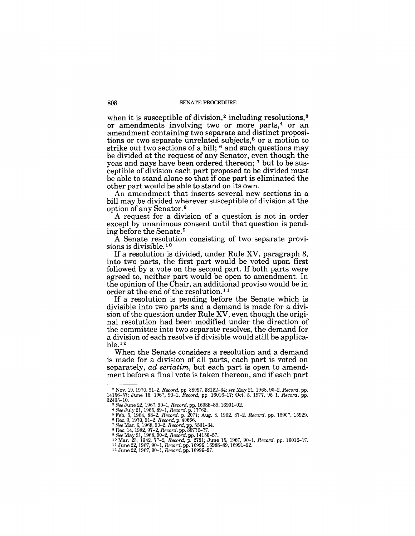#### 808 SENATE PROCEDURE

when it is susceptible of division,<sup>2</sup> including resolutions,<sup>3</sup> or amendments involving two or more parts,<sup>4</sup> or an amendment containing two separate and distinct propositions or two separate unrelated subjects,<sup>5</sup> or a motion to strike out two sections of a bill; <sup>6</sup> and such questions may be divided at the request of any Senator, even though the yeas and nays have been ordered thereon; 7 but to be susceptible of division each part proposed to be divided must be able to stand alone so that if one part is eliminated the other part would be able to stand on its own.

An amendment that inserts several new sections in a bill may be divided wherever susceptible of division at the option of any Senator. 8

A request for a division of a question is not in order except by unanimous consent until that question is pending before the Senate. 9

A Senate resolution consisting of two separate provisions is divisible.<sup>10</sup>

If a resolution is divided, under Rule XV, paragraph 3, into two parts, the first part would be voted upon first followed by a vote on the second part. If both parts were agreed to, neither part would be open to amendment. In the opinion of the Chair, an additional proviso would be in order at the end of the resolution. 11

If a resolution is pending before the Senate which is divisible into two parts and a demand is made for a division of the question under Rule XV, even though the original resolution had been modified under the direction of the committee into two separate resolves, the demand for a division of each resolve if divisible would still be applica $ble.$ <sup>12</sup>

When the Senate considers a resolution and a demand is made for a division of all parts, each part is voted on separately, *ad seriatim,* but each part is open to amendment before a final vote is taken thereon, and if each part

<sup>2</sup>Nov. 19, 1970,91-2, *Record,* pp. 38097, 38132-34; *see* May 21,1968,90-2, *Record,* pp. 14156-57; June 15, 1967, 90-1, *Record,* pp. 16016-17; Oct. 5, 1977, 95-1, *Record,* pp. 32405-10. 3 *See* June 22, 1967,90-1, *Record,* pp. 16988-89, 16991-92.

<sup>&</sup>lt;sup>4</sup> See July 21, 1965, 89–1, *Record*, p. 17763.<br><sup>5</sup> Feb. 5, 1964, 88–2, *Record*, p. 2071; Aug. 8, 1962, 87–2, *Record*, pp. 15907, 15929.<br><sup>6</sup> Dec. 9, 1970, 91–2, *Record*, p. 2005.<br><sup>7</sup> See Mar. 6, 1968, 90–2, *Record*, p

<sup>°</sup> *See* May 21, 1968, 90–2, *Record, pp. 14156–57.*<br>1º Mar. 23, 1942, 77–2, *Record, p. 2*791; June 15, 1967, 90–1, *Record, pp. 16016–17.*<br>1º June 22, 1967, 90–1, *Record, pp.* 16996, 16988–89, 16991–92.<br>1º June 22, 1967,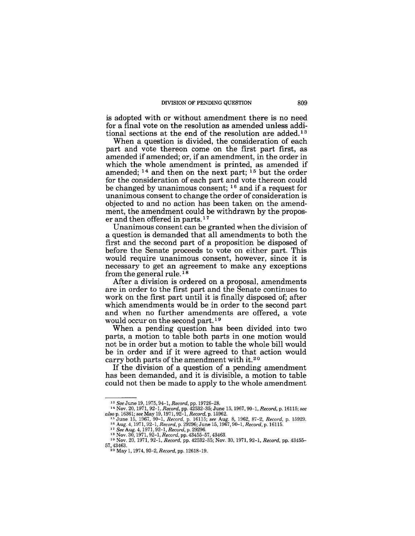is adopted with or without amendment there is no need for a final vote on the resolution as amended unless additional sections at the end of the resolution are added. <sup>13</sup>

When a question is divided, the consideration of each part and vote thereon come on the first part first, as amended if amended; or, if an amendment, in the order in which the whole amendment is printed, as amended if amended;  $^{14}$  and then on the next part;  $^{15}$  but the order for the consideration of each part and vote thereon could be changed by unanimous consent; 16 and if a request for unanimous consent to change the order of consideration is objected to and no action has been taken on the amendment, the amendment could be withdrawn by the proposer and then offered in parts.<sup>17</sup>

Unanimous consent can be granted when the division of a question is demanded that all amendments to both the first and the second part of a proposition be disposed of before the Senate proceeds to vote on either part. This would require unanimous consent, however, since it is necessary to get an agreement to make any exceptions from the general rule. 18

After a division is ordered on a proposal, amendments are in order to the first part and the Senate continues to work on the first part until it is finally disposed of; after which amendments would be in order to the second part and when no further amendments are offered, a vote would occur on the second part.<sup>19</sup>

When a pending question has been divided into two parts, a motion to table both parts in one motion would not be in order but a motion to table the whole bill would be in order and if it were agreed to that action would carry both parts of the amendment with it.20

If the division of a question of a pending amendment has been demanded, and it is divisible, a motion to table could not then be made to apply to the whole amendment

<sup>13</sup>*See* June 19, 1975, 94-1, *Record,* pp.19726-28.

<sup>&</sup>lt;sup>14</sup> Nov. 20, 1971, 92-1, Record, pp. 42532-35; June 15, 1967, 90-1, Record, p. 16115; see also p. 16361; see May 19, 1971, 92-1, Record, p. 15962.

<sup>&</sup>lt;sup>16</sup> Aug. 4, 1971, 92–1, *Record*, p. 29296; June 15, 1967, 90–1, *Record*, p. 16115.<br><sup>17</sup> *See* Aug. 4, 1971, 92–1, *Record*, p. 29296.<br><sup>18</sup> Nov. 30, 1971, 92–1, *Record*, pp. 43455–57, 43463.<br><sup>19</sup> Nov. 20, 1971, 92–1, *R* 

<sup>57,43463. 20</sup> May 1, 1974, 93-2, *Record,* pp. 12618-19.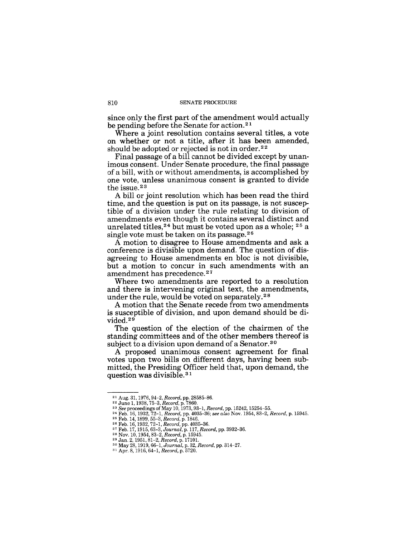since only the first part of the amendment would actually be pending before the Senate for action. 21

Where a joint resolution contains several titles, a vote on whether or not a title, after it has been amended, should be adopted or rejected is not in order.<sup>22</sup>

Final passage of a bill cannot be divided except by unanimous consent. Under Senate procedure, the final passage of a bill, with or without amendments, is accomplished by one vote, unless unanimous consent is granted to divide the issue.<sup>23</sup>

A bill or joint resolution which has been read the third time, and the question is put on its passage, is not susceptible of a division under the rule relating to division of amendments even though it contains several distinct and unrelated titles,  $24$  but must be voted upon as a whole;  $25$  a single vote must be taken on its passage.<sup>26</sup>

A motion to disagree to House amendments and ask a conference is divisible upon demand. The question of disagreeing to House amendments en bloc is not divisible, but a motion to concur in such amendments with an amendment has precedence.<sup>27</sup>

Where two amendments are reported to a resolution and there is intervening original text, the amendments, under the rule, would be voted on separately.<sup>28</sup>

A motion that the Senate recede from two amendments is susceptible of division, and upon demand should be divided.<sup>29</sup>

The question of the election of the chairmen of the standing committees and of the other members thereof is subject to a division upon demand of a Senator.<sup>30</sup>

A proposed unanimous consent agreement for final votes upon two bills on different days, having been submitted, the Presiding Officer held that, upon demand, the question was divisible. 3 1

<sup>21</sup> Aug. 31, 1976,94-2, *Record,* pp. 28585-86. 22 June 1, 1938,75-3, *Record,* p. 7860.

<sup>23</sup>*See* proceedings of May 10,1973,93-1, *Record,* pp.15242, 15254-55. 24 Feb. 16, 1932,72-1, *Record,* pp. 4035-36; *see also* Nov. 1954,83-2, *Record,* p. 15945.

<sup>&</sup>lt;sup>25</sup> Feb. 14, 1899, 55–3, *Record*, p. 1846.<br><sup>26</sup> Feb. 16, 1932, 72–1, *Record*, pp. 4035–36.<br><sup>27</sup> Feb. 17, 1915, 63–3, *Journal*, p. 117, *Record*, pp. 3932–36.<br><sup>28</sup> Nov. 10, 1954, 83–2, *Record*, p. 15945.<br><sup>28</sup> Jan. 2, 1

<sup>2&</sup>lt;sup>6</sup> Nov. 10, 1304, 30-2, *Record, p. 17101.*<br><sup>29</sup> Jan. 2, 1951, 81–2, *Record, p. 17101.*<br><sup>30</sup> May 28, 1919, 66–1, *Journal*, p. 32, *Record, pp.* 314–27.

<sup>31</sup> Apr. 8, 1916, 64-1, *Record,* p. 5720.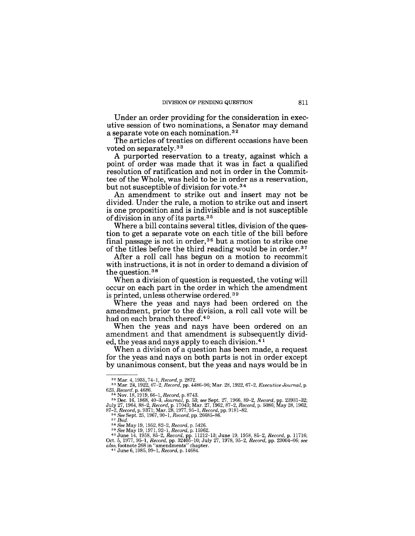Under an order providing for the consideration in executive session of two nominations, a Senator may demand a separate vote on each nomination. 3 2

The articles of treaties on different occasions have been voted on separately. 33

A purported reservation to a treaty, against which a point of order was made that it was in fact a qualified resolution of ratification and not in order in the Committee of the Whole, was held to be in order as a reservation, but not susceptible of division for vote. 34

An amendment to strike out and insert may not be divided. Under the rule, a motion to strike out and insert is one proposition and is indivisible and is not susceptible of division in any of its parts. 3 5

Where a bill contains several titles, division of the question to get a separate vote on each title of the bill before final passage is not in order,36 but a motion to strike one of the titles before the third reading would be in order.<sup>37</sup>

After a roll call has begun on a motion to recommit with instructions, it is not in order to demand a division of the question.<sup>38</sup>

When a division of question is requested, the voting will occur on each part in the order in which the amendment is printed, unless otherwise ordered. 39

Where the yeas and nays had been ordered on the amendment, prior to the division, a roll call vote will be had on each branch thereof.<sup>40</sup>

When the yeas and nays have been ordered on an amendment and that amendment is subsequently divided, the yeas and nays apply to each division.4 1

When a division of a question has been made, a request for the yeas and nays on both parts is not in order except by unanimous consent, but the yeas and nays would be in

<sup>38</sup>*See* May 19, 1952,82-2, *Record,* p. 5426. *39 See* May 19,1971,92-1, *Record,* p. 15962. 40 June 14, 1958, 85-2, *Record,* pp. 11212-13; June 19, 1958, 85-2, *Record,* p. 11716; Oct. 5, 1977, 95-1, *Record,* pp. 32405-10; July 27,1978,95-2, *Record,* pp. 23004-06; *see also,* footnote 268 in "amendments" chapter. 41 June 6,1985,99-1, *Record,* p. 14684.

<sup>32</sup> Mar. 4, 1935,74-1, *Record,* p. 2872. 33 Mar. 24, 1922, 67-2, *Record,* pp. 4486-96; Mar. 28, 1922, 67-2, *Executive Journal,* p.

<sup>623,</sup> Record. p. 4686.<br>
<sup>34</sup> Nov. 18, 1919, 66–1, Record, p. 8743.<br>
<sup>35</sup> Dec. 16, 1868, 40–3, Journal, p. 53; see Sept. 27, 1966, 89–2, Record, pp. 23931–32;<br>
July 27, 1964, 88–2, Record, p. 17043; Mar. 27, 1962, 87–2, Reco